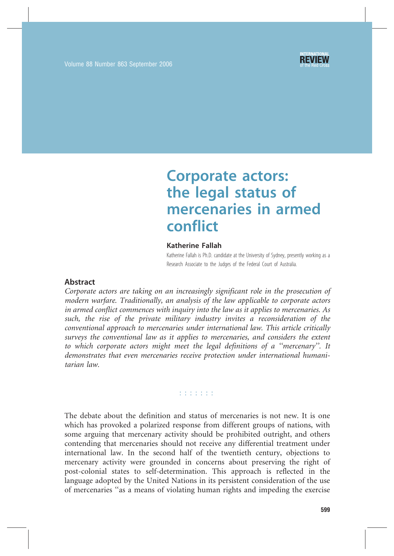

# Corporate actors: the legal status of mercenaries in armed conflict

#### Katherine Fallah

Katherine Fallah is Ph.D. candidate at the University of Sydney, presently working as a Research Associate to the Judges of the Federal Court of Australia.

#### Abstract

Corporate actors are taking on an increasingly significant role in the prosecution of modern warfare. Traditionally, an analysis of the law applicable to corporate actors in armed conflict commences with inquiry into the law as it applies to mercenaries. As such, the rise of the private military industry invites a reconsideration of the conventional approach to mercenaries under international law. This article critically surveys the conventional law as it applies to mercenaries, and considers the extent to which corporate actors might meet the legal definitions of a ''mercenary''. It demonstrates that even mercenaries receive protection under international humanitarian law.

#### **ESSESS**

The debate about the definition and status of mercenaries is not new. It is one which has provoked a polarized response from different groups of nations, with some arguing that mercenary activity should be prohibited outright, and others contending that mercenaries should not receive any differential treatment under international law. In the second half of the twentieth century, objections to mercenary activity were grounded in concerns about preserving the right of post-colonial states to self-determination. This approach is reflected in the language adopted by the United Nations in its persistent consideration of the use of mercenaries ''as a means of violating human rights and impeding the exercise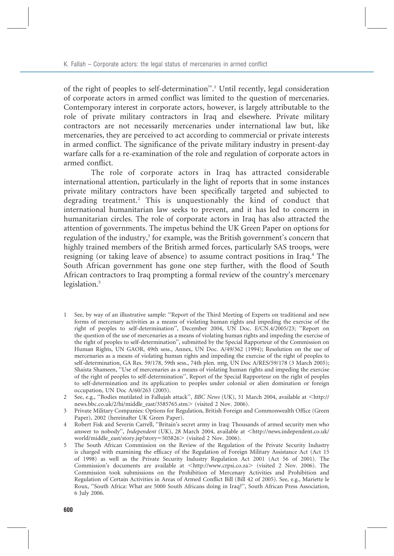of the right of peoples to self-determination''.1 Until recently, legal consideration of corporate actors in armed conflict was limited to the question of mercenaries. Contemporary interest in corporate actors, however, is largely attributable to the role of private military contractors in Iraq and elsewhere. Private military contractors are not necessarily mercenaries under international law but, like mercenaries, they are perceived to act according to commercial or private interests in armed conflict. The significance of the private military industry in present-day warfare calls for a re-examination of the role and regulation of corporate actors in armed conflict.

The role of corporate actors in Iraq has attracted considerable international attention, particularly in the light of reports that in some instances private military contractors have been specifically targeted and subjected to degrading treatment.2 This is unquestionably the kind of conduct that international humanitarian law seeks to prevent, and it has led to concern in humanitarian circles. The role of corporate actors in Iraq has also attracted the attention of governments. The impetus behind the UK Green Paper on options for regulation of the industry,<sup>3</sup> for example, was the British government's concern that highly trained members of the British armed forces, particularly SAS troops, were resigning (or taking leave of absence) to assume contract positions in Iraq.<sup>4</sup> The South African government has gone one step further, with the flood of South African contractors to Iraq prompting a formal review of the country's mercenary legislation.<sup>5</sup>

- 1 See, by way of an illustrative sample: ''Report of the Third Meeting of Experts on traditional and new forms of mercenary activities as a means of violating human rights and impeding the exercise of the right of peoples to self-determination'', December 2004, UN Doc. E/CN.4/2005/23; ''Report on the question of the use of mercenaries as a means of violating human rights and impeding the exercise of the right of peoples to self-determination'', submitted by the Special Rapporteur of the Commission on Human Rights, UN GAOR, 49th sess., Annex, UN Doc. A/49/362 (1994); Resolution on the use of mercenaries as a means of violating human rights and impeding the exercise of the right of peoples to self-determination, GA Res. 59/178, 59th sess., 74th plen. mtg, UN Doc A/RES/59/178 (3 March 2005); Shaista Shameen, ''Use of mercenaries as a means of violating human rights and impeding the exercise of the right of peoples to self-determination'', Report of the Special Rapporteur on the right of peoples to self-determination and its application to peoples under colonial or alien domination or foreign occupation, UN Doc A/60/263 (2005).
- 2 See, e.g., "Bodies mutilated in Fallujah attack", BBC News (UK), 31 March 2004, available at <http:// news.bbc.co.uk/2/hi/middle\_east/3585765.stm> (visited 2 Nov. 2006).
- 3 Private Military Companies: Options for Regulation, British Foreign and Commonwealth Office (Green Paper), 2002 (hereinafter UK Green Paper).
- 4 Robert Fisk and Severin Carrell, ''Britain's secret army in Iraq: Thousands of armed security men who answer to nobody", Independent (UK), 28 March 2004, available at <http://news.independent.co.uk/ world/middle\_east/story.jsp?story=505826> (visited 2 Nov. 2006).
- 5 The South African Commission on the Review of the Regulation of the Private Security Industry is charged with examining the efficacy of the Regulation of Foreign Military Assistance Act (Act 15 of 1998) as well as the Private Security Industry Regulation Act 2001 (Act 56 of 2001). The Commission's documents are available at <http://www.crpsi.co.za> (visited 2 Nov. 2006). The Commission took submissions on the Prohibition of Mercenary Activities and Prohibition and Regulation of Certain Activities in Areas of Armed Conflict Bill (Bill 42 of 2005). See, e.g., Mariette le Roux, ''South Africa: What are 5000 South Africans doing in Iraq?'', South African Press Association, 6 July 2006.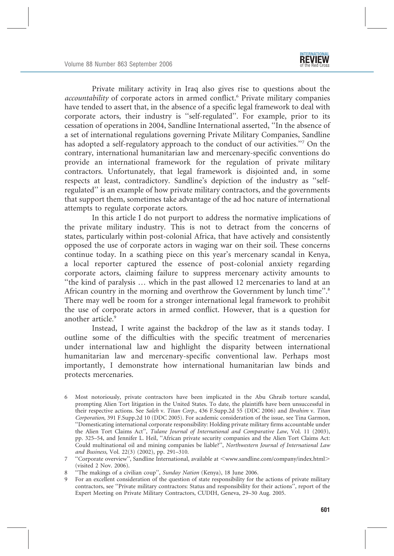

Private military activity in Iraq also gives rise to questions about the accountability of corporate actors in armed conflict.<sup>6</sup> Private military companies have tended to assert that, in the absence of a specific legal framework to deal with corporate actors, their industry is ''self-regulated''. For example, prior to its cessation of operations in 2004, Sandline International asserted, ''In the absence of a set of international regulations governing Private Military Companies, Sandline has adopted a self-regulatory approach to the conduct of our activities.'' <sup>7</sup> On the contrary, international humanitarian law and mercenary-specific conventions do provide an international framework for the regulation of private military contractors. Unfortunately, that legal framework is disjointed and, in some respects at least, contradictory. Sandline's depiction of the industry as ''selfregulated'' is an example of how private military contractors, and the governments that support them, sometimes take advantage of the ad hoc nature of international attempts to regulate corporate actors.

In this article I do not purport to address the normative implications of the private military industry. This is not to detract from the concerns of states, particularly within post-colonial Africa, that have actively and consistently opposed the use of corporate actors in waging war on their soil. These concerns continue today. In a scathing piece on this year's mercenary scandal in Kenya, a local reporter captured the essence of post-colonial anxiety regarding corporate actors, claiming failure to suppress mercenary activity amounts to ''the kind of paralysis … which in the past allowed 12 mercenaries to land at an African country in the morning and overthrow the Government by lunch time''.8 There may well be room for a stronger international legal framework to prohibit the use of corporate actors in armed conflict. However, that is a question for another article<sup>9</sup>

Instead, I write against the backdrop of the law as it stands today. I outline some of the difficulties with the specific treatment of mercenaries under international law and highlight the disparity between international humanitarian law and mercenary-specific conventional law. Perhaps most importantly, I demonstrate how international humanitarian law binds and protects mercenaries.

<sup>6</sup> Most notoriously, private contractors have been implicated in the Abu Ghraib torture scandal, prompting Alien Tort litigation in the United States. To date, the plaintiffs have been unsuccessful in their respective actions. See Saleh v. Titan Corp., 436 F.Supp.2d 55 (DDC 2006) and Ibrahim v. Titan Corporation, 391 F.Supp.2d 10 (DDC 2005). For academic consideration of the issue, see Tina Garmon, ''Domesticating international corporate responsibility: Holding private military firms accountable under the Alien Tort Claims Act'', Tulane Journal of International and Comparative Law, Vol. 11 (2003), pp. 325–54, and Jennifer L. Heil, ''African private security companies and the Alien Tort Claims Act: Could multinational oil and mining companies be liable?'', Northwestern Journal of International Law and Business, Vol. 22(3) (2002), pp. 291–310.

<sup>7 &</sup>quot;Corporate overview", Sandline International, available at <www.sandline.com/company/index.html> (visited 2 Nov. 2006).

<sup>8 &#</sup>x27;'The makings of a civilian coup'', Sunday Nation (Kenya), 18 June 2006.

<sup>9</sup> For an excellent consideration of the question of state responsibility for the actions of private military contractors, see ''Private military contractors: Status and responsibility for their actions'', report of the Expert Meeting on Private Military Contractors, CUDIH, Geneva, 29–30 Aug. 2005.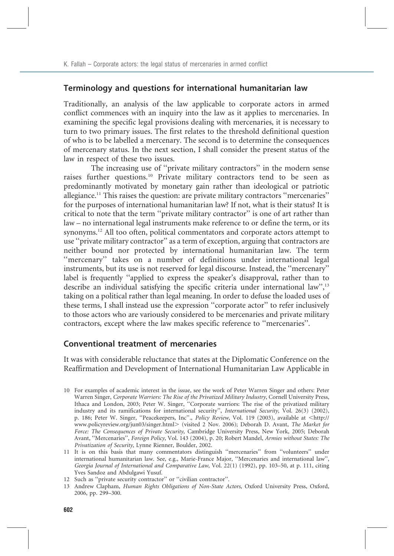# Terminology and questions for international humanitarian law

Traditionally, an analysis of the law applicable to corporate actors in armed conflict commences with an inquiry into the law as it applies to mercenaries. In examining the specific legal provisions dealing with mercenaries, it is necessary to turn to two primary issues. The first relates to the threshold definitional question of who is to be labelled a mercenary. The second is to determine the consequences of mercenary status. In the next section, I shall consider the present status of the law in respect of these two issues.

The increasing use of ''private military contractors'' in the modern sense raises further questions.10 Private military contractors tend to be seen as predominantly motivated by monetary gain rather than ideological or patriotic allegiance.11 This raises the question: are private military contractors ''mercenaries'' for the purposes of international humanitarian law? If not, what is their status? It is critical to note that the term ''private military contractor'' is one of art rather than law – no international legal instruments make reference to or define the term, or its synonyms.<sup>12</sup> All too often, political commentators and corporate actors attempt to use ''private military contractor'' as a term of exception, arguing that contractors are neither bound nor protected by international humanitarian law. The term ''mercenary'' takes on a number of definitions under international legal instruments, but its use is not reserved for legal discourse. Instead, the ''mercenary'' label is frequently ''applied to express the speaker's disapproval, rather than to describe an individual satisfying the specific criteria under international law", $^{13}$ taking on a political rather than legal meaning. In order to defuse the loaded uses of these terms, I shall instead use the expression ''corporate actor'' to refer inclusively to those actors who are variously considered to be mercenaries and private military contractors, except where the law makes specific reference to ''mercenaries''.

#### Conventional treatment of mercenaries

It was with considerable reluctance that states at the Diplomatic Conference on the Reaffirmation and Development of International Humanitarian Law Applicable in

12 Such as "private security contractor" or "civilian contractor".

<sup>10</sup> For examples of academic interest in the issue, see the work of Peter Warren Singer and others: Peter Warren Singer, Corporate Warriors: The Rise of the Privatized Military Industry, Cornell University Press, Ithaca and London, 2003; Peter W. Singer, ''Corporate warriors: The rise of the privatized military industry and its ramifications for international security'', International Security, Vol. 26(3) (2002), p. 186; Peter W. Singer, "Peacekeepers, Inc"., Policy Review, Vol. 119 (2003), available at <http:// www.policyreview.org/jun03/singer.html> (visited 2 Nov. 2006); Deborah D. Avant, The Market for Force: The Consequences of Private Security, Cambridge University Press, New York, 2005; Deborah Avant, ''Mercenaries'', Foreign Policy, Vol. 143 (2004), p. 20; Robert Mandel, Armies without States: The Privatization of Security, Lynne Rienner, Boulder, 2002.

<sup>11</sup> It is on this basis that many commentators distinguish ''mercenaries'' from ''volunteers'' under international humanitarian law. See, e.g., Marie-France Major, ''Mercenaries and international law'', Georgia Journal of International and Comparative Law, Vol. 22(1) (1992), pp. 103–50, at p. 111, citing Yves Sandoz and Abdulgawi Yusuf.

<sup>13</sup> Andrew Clapham, Human Rights Obligations of Non-State Actors, Oxford University Press, Oxford, 2006, pp. 299–300.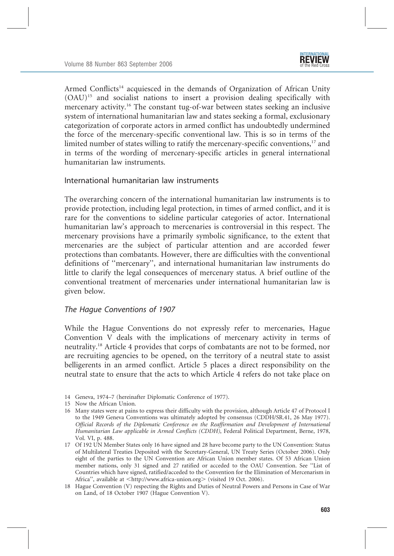

Armed Conflicts<sup>14</sup> acquiesced in the demands of Organization of African Unity (OAU)15 and socialist nations to insert a provision dealing specifically with mercenary activity.16 The constant tug-of-war between states seeking an inclusive system of international humanitarian law and states seeking a formal, exclusionary categorization of corporate actors in armed conflict has undoubtedly undermined the force of the mercenary-specific conventional law. This is so in terms of the limited number of states willing to ratify the mercenary-specific conventions,<sup>17</sup> and in terms of the wording of mercenary-specific articles in general international humanitarian law instruments.

# International humanitarian law instruments

The overarching concern of the international humanitarian law instruments is to provide protection, including legal protection, in times of armed conflict, and it is rare for the conventions to sideline particular categories of actor. International humanitarian law's approach to mercenaries is controversial in this respect. The mercenary provisions have a primarily symbolic significance, to the extent that mercenaries are the subject of particular attention and are accorded fewer protections than combatants. However, there are difficulties with the conventional definitions of ''mercenary'', and international humanitarian law instruments do little to clarify the legal consequences of mercenary status. A brief outline of the conventional treatment of mercenaries under international humanitarian law is given below.

# The Hague Conventions of 1907

While the Hague Conventions do not expressly refer to mercenaries, Hague Convention V deals with the implications of mercenary activity in terms of neutrality.18 Article 4 provides that corps of combatants are not to be formed, nor are recruiting agencies to be opened, on the territory of a neutral state to assist belligerents in an armed conflict. Article 5 places a direct responsibility on the neutral state to ensure that the acts to which Article 4 refers do not take place on

- 14 Geneva, 1974–7 (hereinafter Diplomatic Conference of 1977).
- 15 Now the African Union.
- 16 Many states were at pains to express their difficulty with the provision, although Article 47 of Protocol I to the 1949 Geneva Conventions was ultimately adopted by consensus (CDDH/SR.41, 26 May 1977). Official Records of the Diplomatic Conference on the Reaffirmation and Development of International Humanitarian Law applicable in Armed Conflicts (CDDH), Federal Political Department, Berne, 1978, Vol. VI, p. 488.
- 17 Of 192 UN Member States only 16 have signed and 28 have become party to the UN Convention: Status of Multilateral Treaties Deposited with the Secretary-General, UN Treaty Series (October 2006). Only eight of the parties to the UN Convention are African Union member states. Of 53 African Union member nations, only 31 signed and 27 ratified or acceded to the OAU Convention. See ''List of Countries which have signed, ratified/acceded to the Convention for the Elimination of Mercenarism in Africa", available at <http://www.africa-union.org> (visited 19 Oct. 2006).
- 18 Hague Convention (V) respecting the Rights and Duties of Neutral Powers and Persons in Case of War on Land, of 18 October 1907 (Hague Convention V).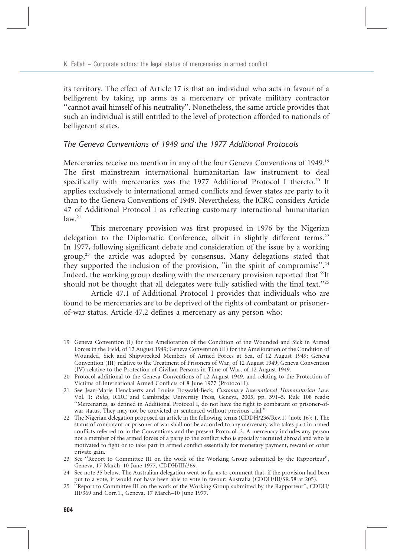its territory. The effect of Article 17 is that an individual who acts in favour of a belligerent by taking up arms as a mercenary or private military contractor ''cannot avail himself of his neutrality''. Nonetheless, the same article provides that such an individual is still entitled to the level of protection afforded to nationals of belligerent states.

# The Geneva Conventions of 1949 and the 1977 Additional Protocols

Mercenaries receive no mention in any of the four Geneva Conventions of 1949.19 The first mainstream international humanitarian law instrument to deal specifically with mercenaries was the 1977 Additional Protocol I thereto. <sup>20</sup> It applies exclusively to international armed conflicts and fewer states are party to it than to the Geneva Conventions of 1949. Nevertheless, the ICRC considers Article 47 of Additional Protocol I as reflecting customary international humanitarian  $law<sup>21</sup>$ 

This mercenary provision was first proposed in 1976 by the Nigerian delegation to the Diplomatic Conference, albeit in slightly different terms.<sup>22</sup> In 1977, following significant debate and consideration of the issue by a working group, $23$  the article was adopted by consensus. Many delegations stated that they supported the inclusion of the provision, "in the spirit of compromise".<sup>24</sup> Indeed, the working group dealing with the mercenary provision reported that ''It should not be thought that all delegates were fully satisfied with the final text.''25

Article 47.1 of Additional Protocol I provides that individuals who are found to be mercenaries are to be deprived of the rights of combatant or prisonerof-war status. Article 47.2 defines a mercenary as any person who:

<sup>19</sup> Geneva Convention (I) for the Amelioration of the Condition of the Wounded and Sick in Armed Forces in the Field, of 12 August 1949; Geneva Convention (II) for the Amelioration of the Condition of Wounded, Sick and Shipwrecked Members of Armed Forces at Sea, of 12 August 1949; Geneva Convention (III) relative to the Treatment of Prisoners of War, of 12 August 1949; Geneva Convention (IV) relative to the Protection of Civilian Persons in Time of War, of 12 August 1949.

<sup>20</sup> Protocol additional to the Geneva Conventions of 12 August 1949, and relating to the Protection of Victims of International Armed Conflicts of 8 June 1977 (Protocol I).

<sup>21</sup> See Jean-Marie Henckaerts and Louise Doswald-Beck, Customary International Humanitarian Law: Vol. 1: Rules, ICRC and Cambridge University Press, Geneva, 2005, pp. 391–5. Rule 108 reads: ''Mercenaries, as defined in Additional Protocol I, do not have the right to combatant or prisoner-ofwar status. They may not be convicted or sentenced without previous trial.''

<sup>22</sup> The Nigerian delegation proposed an article in the following terms (CDDH/236/Rev.1) (note 16): 1. The status of combatant or prisoner of war shall not be accorded to any mercenary who takes part in armed conflicts referred to in the Conventions and the present Protocol. 2. A mercenary includes any person not a member of the armed forces of a party to the conflict who is specially recruited abroad and who is motivated to fight or to take part in armed conflict essentially for monetary payment, reward or other private gain.

<sup>23</sup> See ''Report to Committee III on the work of the Working Group submitted by the Rapporteur'', Geneva, 17 March–10 June 1977, CDDH/III/369.

<sup>24</sup> See note 35 below. The Australian delegation went so far as to comment that, if the provision had been put to a vote, it would not have been able to vote in favour: Australia (CDDH/III/SR.58 at 205).

<sup>25 &#</sup>x27;'Report to Committee III on the work of the Working Group submitted by the Rapporteur'', CDDH/ III/369 and Corr.1., Geneva, 17 March–10 June 1977.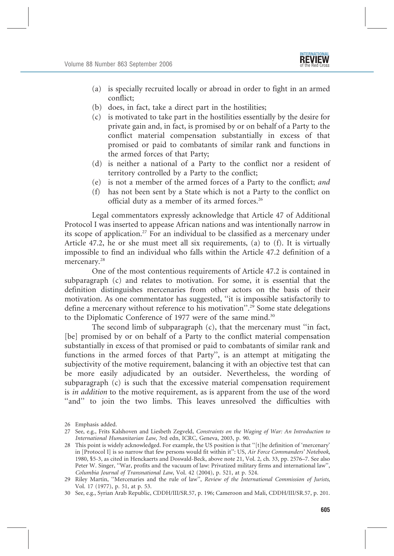

- (a) is specially recruited locally or abroad in order to fight in an armed conflict;
- (b) does, in fact, take a direct part in the hostilities;
- (c) is motivated to take part in the hostilities essentially by the desire for private gain and, in fact, is promised by or on behalf of a Party to the conflict material compensation substantially in excess of that promised or paid to combatants of similar rank and functions in the armed forces of that Party;
- (d) is neither a national of a Party to the conflict nor a resident of territory controlled by a Party to the conflict;
- (e) is not a member of the armed forces of a Party to the conflict; and
- (f) has not been sent by a State which is not a Party to the conflict on official duty as a member of its armed forces.<sup>26</sup>

Legal commentators expressly acknowledge that Article 47 of Additional Protocol I was inserted to appease African nations and was intentionally narrow in its scope of application.<sup>27</sup> For an individual to be classified as a mercenary under Article 47.2, he or she must meet all six requirements, (a) to (f). It is virtually impossible to find an individual who falls within the Article 47.2 definition of a mercenary.28

One of the most contentious requirements of Article 47.2 is contained in subparagraph (c) and relates to motivation. For some, it is essential that the definition distinguishes mercenaries from other actors on the basis of their motivation. As one commentator has suggested, ''it is impossible satisfactorily to define a mercenary without reference to his motivation".<sup>29</sup> Some state delegations to the Diplomatic Conference of 1977 were of the same mind.<sup>30</sup>

The second limb of subparagraph (c), that the mercenary must ''in fact, [be] promised by or on behalf of a Party to the conflict material compensation substantially in excess of that promised or paid to combatants of similar rank and functions in the armed forces of that Party'', is an attempt at mitigating the subjectivity of the motive requirement, balancing it with an objective test that can be more easily adjudicated by an outsider. Nevertheless, the wording of subparagraph (c) is such that the excessive material compensation requirement is in addition to the motive requirement, as is apparent from the use of the word ''and'' to join the two limbs. This leaves unresolved the difficulties with

<sup>26</sup> Emphasis added.

<sup>27</sup> See, e.g., Frits Kalshoven and Liesbeth Zegveld, Constraints on the Waging of War: An Introduction to International Humanitarian Law, 3rd edn, ICRC, Geneva, 2003, p. 90.

<sup>28</sup> This point is widely acknowledged. For example, the US position is that ''[t]he definition of 'mercenary' in [Protocol I] is so narrow that few persons would fit within it": US, Air Force Commanders' Notebook, 1980, 15-3, as cited in Henckaerts and Doswald-Beck, above note 21, Vol. 2, ch. 33, pp. 2576–7. See also Peter W. Singer, ''War, profits and the vacuum of law: Privatized military firms and international law'', Columbia Journal of Transnational Law, Vol. 42 (2004), p. 521, at p. 524.

<sup>29</sup> Riley Martin, ''Mercenaries and the rule of law'', Review of the International Commission of Jurists, Vol. 17 (1977), p. 51, at p. 53.

<sup>30</sup> See, e.g., Syrian Arab Republic, CDDH/III/SR.57, p. 196; Cameroon and Mali, CDDH/III/SR.57, p. 201.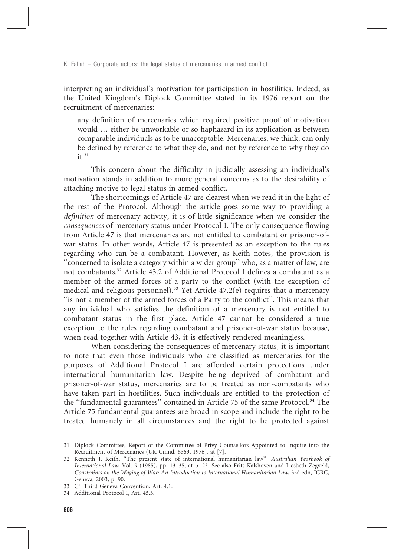interpreting an individual's motivation for participation in hostilities. Indeed, as the United Kingdom's Diplock Committee stated in its 1976 report on the recruitment of mercenaries:

any definition of mercenaries which required positive proof of motivation would … either be unworkable or so haphazard in its application as between comparable individuals as to be unacceptable. Mercenaries, we think, can only be defined by reference to what they do, and not by reference to why they do  $it<sup>31</sup>$ 

This concern about the difficulty in judicially assessing an individual's motivation stands in addition to more general concerns as to the desirability of attaching motive to legal status in armed conflict.

The shortcomings of Article 47 are clearest when we read it in the light of the rest of the Protocol. Although the article goes some way to providing a definition of mercenary activity, it is of little significance when we consider the consequences of mercenary status under Protocol I. The only consequence flowing from Article 47 is that mercenaries are not entitled to combatant or prisoner-ofwar status. In other words, Article 47 is presented as an exception to the rules regarding who can be a combatant. However, as Keith notes, the provision is ''concerned to isolate a category within a wider group'' who, as a matter of law, are not combatants.32 Article 43.2 of Additional Protocol I defines a combatant as a member of the armed forces of a party to the conflict (with the exception of medical and religious personnel).<sup>33</sup> Yet Article  $47.2(e)$  requires that a mercenary "is not a member of the armed forces of a Party to the conflict". This means that any individual who satisfies the definition of a mercenary is not entitled to combatant status in the first place. Article 47 cannot be considered a true exception to the rules regarding combatant and prisoner-of-war status because, when read together with Article 43, it is effectively rendered meaningless.

When considering the consequences of mercenary status, it is important to note that even those individuals who are classified as mercenaries for the purposes of Additional Protocol I are afforded certain protections under international humanitarian law. Despite being deprived of combatant and prisoner-of-war status, mercenaries are to be treated as non-combatants who have taken part in hostilities. Such individuals are entitled to the protection of the "fundamental guarantees" contained in Article 75 of the same Protocol.<sup>34</sup> The Article 75 fundamental guarantees are broad in scope and include the right to be treated humanely in all circumstances and the right to be protected against

33 Cf. Third Geneva Convention, Art. 4.1.

<sup>31</sup> Diplock Committee, Report of the Committee of Privy Counsellors Appointed to Inquire into the Recruitment of Mercenaries (UK Cmnd. 6569, 1976), at [7].

<sup>32</sup> Kenneth J. Keith, ''The present state of international humanitarian law'', Australian Yearbook of International Law, Vol. 9 (1985), pp. 13–35, at p. 23. See also Frits Kalshoven and Liesbeth Zegveld, Constraints on the Waging of War: An Introduction to International Humanitarian Law, 3rd edn, ICRC, Geneva, 2003, p. 90.

<sup>34</sup> Additional Protocol I, Art. 45.3.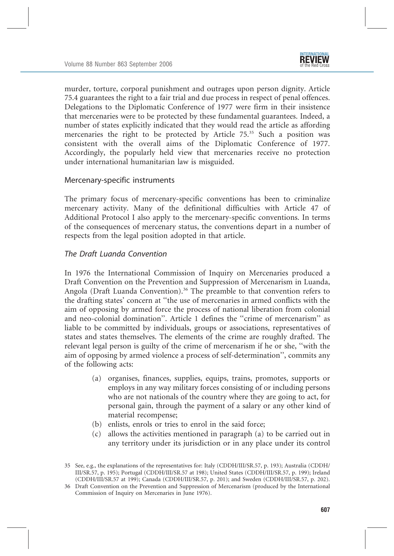

murder, torture, corporal punishment and outrages upon person dignity. Article 75.4 guarantees the right to a fair trial and due process in respect of penal offences. Delegations to the Diplomatic Conference of 1977 were firm in their insistence that mercenaries were to be protected by these fundamental guarantees. Indeed, a number of states explicitly indicated that they would read the article as affording mercenaries the right to be protected by Article 75.<sup>35</sup> Such a position was consistent with the overall aims of the Diplomatic Conference of 1977. Accordingly, the popularly held view that mercenaries receive no protection under international humanitarian law is misguided.

# Mercenary-specific instruments

The primary focus of mercenary-specific conventions has been to criminalize mercenary activity. Many of the definitional difficulties with Article 47 of Additional Protocol I also apply to the mercenary-specific conventions. In terms of the consequences of mercenary status, the conventions depart in a number of respects from the legal position adopted in that article.

# The Draft Luanda Convention

In 1976 the International Commission of Inquiry on Mercenaries produced a Draft Convention on the Prevention and Suppression of Mercenarism in Luanda, Angola (Draft Luanda Convention).<sup>36</sup> The preamble to that convention refers to the drafting states' concern at ''the use of mercenaries in armed conflicts with the aim of opposing by armed force the process of national liberation from colonial and neo-colonial domination''. Article 1 defines the ''crime of mercenarism'' as liable to be committed by individuals, groups or associations, representatives of states and states themselves. The elements of the crime are roughly drafted. The relevant legal person is guilty of the crime of mercenarism if he or she, ''with the aim of opposing by armed violence a process of self-determination'', commits any of the following acts:

- (a) organises, finances, supplies, equips, trains, promotes, supports or employs in any way military forces consisting of or including persons who are not nationals of the country where they are going to act, for personal gain, through the payment of a salary or any other kind of material recompense;
- (b) enlists, enrols or tries to enrol in the said force;
- (c) allows the activities mentioned in paragraph (a) to be carried out in any territory under its jurisdiction or in any place under its control

<sup>35</sup> See, e.g., the explanations of the representatives for: Italy (CDDH/III/SR.57, p. 193); Australia (CDDH/ III/SR.57, p. 195); Portugal (CDDH/III/SR.57 at 198); United States (CDDH/III/SR.57, p. 199); Ireland (CDDH/III/SR.57 at 199); Canada (CDDH/III/SR.57, p. 201); and Sweden (CDDH/III/SR.57, p. 202).

<sup>36</sup> Draft Convention on the Prevention and Suppression of Mercenarism (produced by the International Commission of Inquiry on Mercenaries in June 1976).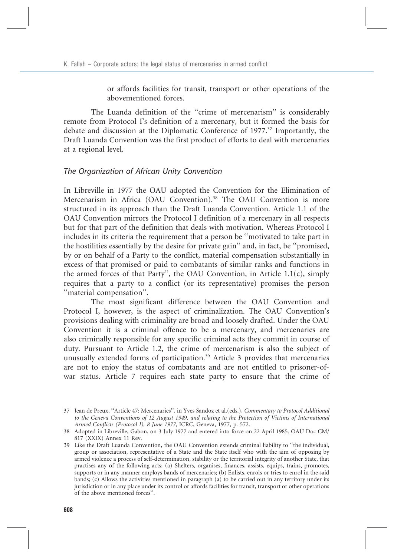or affords facilities for transit, transport or other operations of the abovementioned forces.

The Luanda definition of the ''crime of mercenarism'' is considerably remote from Protocol I's definition of a mercenary, but it formed the basis for debate and discussion at the Diplomatic Conference of 1977.37 Importantly, the Draft Luanda Convention was the first product of efforts to deal with mercenaries at a regional level.

#### The Organization of African Unity Convention

In Libreville in 1977 the OAU adopted the Convention for the Elimination of Mercenarism in Africa (OAU Convention).<sup>38</sup> The OAU Convention is more structured in its approach than the Draft Luanda Convention. Article 1.1 of the OAU Convention mirrors the Protocol I definition of a mercenary in all respects but for that part of the definition that deals with motivation. Whereas Protocol I includes in its criteria the requirement that a person be ''motivated to take part in the hostilities essentially by the desire for private gain'' and, in fact, be ''promised, by or on behalf of a Party to the conflict, material compensation substantially in excess of that promised or paid to combatants of similar ranks and functions in the armed forces of that Party'', the OAU Convention, in Article 1.1(c), simply requires that a party to a conflict (or its representative) promises the person ''material compensation''.

The most significant difference between the OAU Convention and Protocol I, however, is the aspect of criminalization. The OAU Convention's provisions dealing with criminality are broad and loosely drafted. Under the OAU Convention it is a criminal offence to be a mercenary, and mercenaries are also criminally responsible for any specific criminal acts they commit in course of duty. Pursuant to Article 1.2, the crime of mercenarism is also the subject of unusually extended forms of participation.<sup>39</sup> Article 3 provides that mercenaries are not to enjoy the status of combatants and are not entitled to prisoner-ofwar status. Article 7 requires each state party to ensure that the crime of

<sup>37</sup> Jean de Preux, ''Article 47: Mercenaries'', in Yves Sandoz et al.(eds.), Commentary to Protocol Additional to the Geneva Conventions of 12 August 1949, and relating to the Protection of Victims of International Armed Conflicts (Protocol I), 8 June 1977, ICRC, Geneva, 1977, p. 572.

<sup>38</sup> Adopted in Libreville, Gabon, on 3 July 1977 and entered into force on 22 April 1985. OAU Doc CM/ 817 (XXIX) Annex 11 Rev.

<sup>39</sup> Like the Draft Luanda Convention, the OAU Convention extends criminal liability to ''the individual, group or association, representative of a State and the State itself who with the aim of opposing by armed violence a process of self-determination, stability or the territorial integrity of another State, that practises any of the following acts: (a) Shelters, organises, finances, assists, equips, trains, promotes, supports or in any manner employs bands of mercenaries; (b) Enlists, enrols or tries to enrol in the said bands; (c) Allows the activities mentioned in paragraph (a) to be carried out in any territory under its jurisdiction or in any place under its control or affords facilities for transit, transport or other operations of the above mentioned forces''.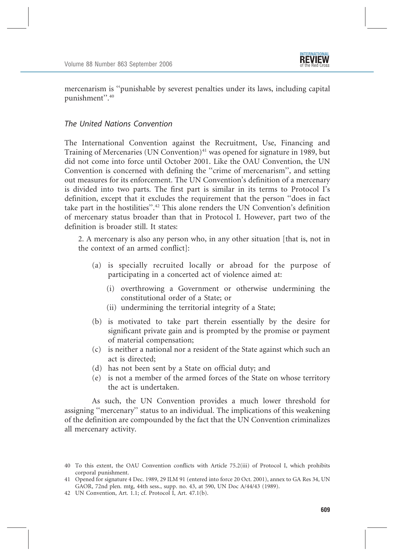

mercenarism is ''punishable by severest penalties under its laws, including capital punishment''.40

# The United Nations Convention

The International Convention against the Recruitment, Use, Financing and Training of Mercenaries (UN Convention)<sup>41</sup> was opened for signature in 1989, but did not come into force until October 2001. Like the OAU Convention, the UN Convention is concerned with defining the ''crime of mercenarism'', and setting out measures for its enforcement. The UN Convention's definition of a mercenary is divided into two parts. The first part is similar in its terms to Protocol I's definition, except that it excludes the requirement that the person ''does in fact take part in the hostilities''.42 This alone renders the UN Convention's definition of mercenary status broader than that in Protocol I. However, part two of the definition is broader still. It states:

2. A mercenary is also any person who, in any other situation [that is, not in the context of an armed conflict]:

- (a) is specially recruited locally or abroad for the purpose of participating in a concerted act of violence aimed at:
	- (i) overthrowing a Government or otherwise undermining the constitutional order of a State; or
	- (ii) undermining the territorial integrity of a State;
- (b) is motivated to take part therein essentially by the desire for significant private gain and is prompted by the promise or payment of material compensation;
- (c) is neither a national nor a resident of the State against which such an act is directed;
- (d) has not been sent by a State on official duty; and
- (e) is not a member of the armed forces of the State on whose territory the act is undertaken.

As such, the UN Convention provides a much lower threshold for assigning ''mercenary'' status to an individual. The implications of this weakening of the definition are compounded by the fact that the UN Convention criminalizes all mercenary activity.

42 UN Convention, Art. 1.1; cf. Protocol I, Art. 47.1(b).

<sup>40</sup> To this extent, the OAU Convention conflicts with Article 75.2(iii) of Protocol I, which prohibits corporal punishment.

<sup>41</sup> Opened for signature 4 Dec. 1989, 29 ILM 91 (entered into force 20 Oct. 2001), annex to GA Res 34, UN GAOR, 72nd plen. mtg, 44th sess., supp. no. 43, at 590, UN Doc A/44/43 (1989).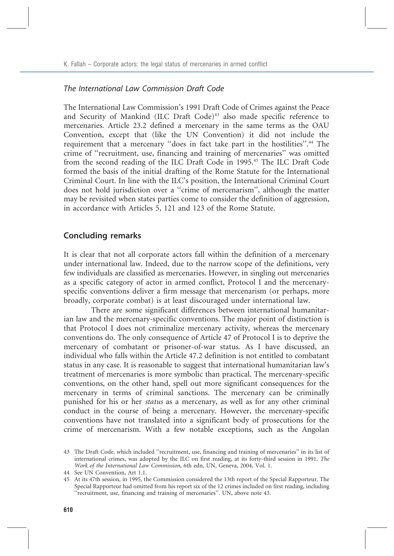#### The International Law Commission Draft Code

The International Law Commission's 1991 Draft Code of Crimes against the Peace and Security of Mankind (ILC Draft Code)<sup>43</sup> also made specific reference to mercenaries. Article 23.2 defined a mercenary in the same terms as the OAU Convention, except that (like the UN Convention) it did not include the requirement that a mercenary ''does in fact take part in the hostilities''. <sup>44</sup> The crime of ''recruitment, use, financing and training of mercenaries'' was omitted from the second reading of the ILC Draft Code in 1995.45 The ILC Draft Code formed the basis of the initial drafting of the Rome Statute for the International Criminal Court. In line with the ILC's position, the International Criminal Court does not hold jurisdiction over a ''crime of mercenarism'', although the matter may be revisited when states parties come to consider the definition of aggression, in accordance with Articles 5, 121 and 123 of the Rome Statute.

#### Concluding remarks

It is clear that not all corporate actors fall within the definition of a mercenary under international law. Indeed, due to the narrow scope of the definitions, very few individuals are classified as mercenaries. However, in singling out mercenaries as a specific category of actor in armed conflict, Protocol I and the mercenaryspecific conventions deliver a firm message that mercenarism (or perhaps, more broadly, corporate combat) is at least discouraged under international law.

There are some significant differences between international humanitarian law and the mercenary-specific conventions. The major point of distinction is that Protocol I does not criminalize mercenary activity, whereas the mercenary conventions do. The only consequence of Article 47 of Protocol I is to deprive the mercenary of combatant or prisoner-of-war status. As I have discussed, an individual who falls within the Article 47.2 definition is not entitled to combatant status in any case. It is reasonable to suggest that international humanitarian law's treatment of mercenaries is more symbolic than practical. The mercenary-specific conventions, on the other hand, spell out more significant consequences for the mercenary in terms of criminal sanctions. The mercenary can be criminally punished for his or her status as a mercenary, as well as for any other criminal conduct in the course of being a mercenary. However, the mercenary-specific conventions have not translated into a significant body of prosecutions for the crime of mercenarism. With a few notable exceptions, such as the Angolan

<sup>43</sup> The Draft Code, which included ''recruitment, use, financing and training of mercenaries'' in its list of international crimes, was adopted by the ILC on first reading, at its forty-third session in 1991. The Work of the International Law Commission, 6th edn, UN, Geneva, 2004, Vol. 1.

<sup>44</sup> See UN Convention, Art 1.1.

<sup>45</sup> At its 47th session, in 1995, the Commission considered the 13th report of the Special Rapporteur. The Special Rapporteur had omitted from his report six of the 12 crimes included on first reading, including ''recruitment, use, financing and training of mercenaries''. UN, above note 43.